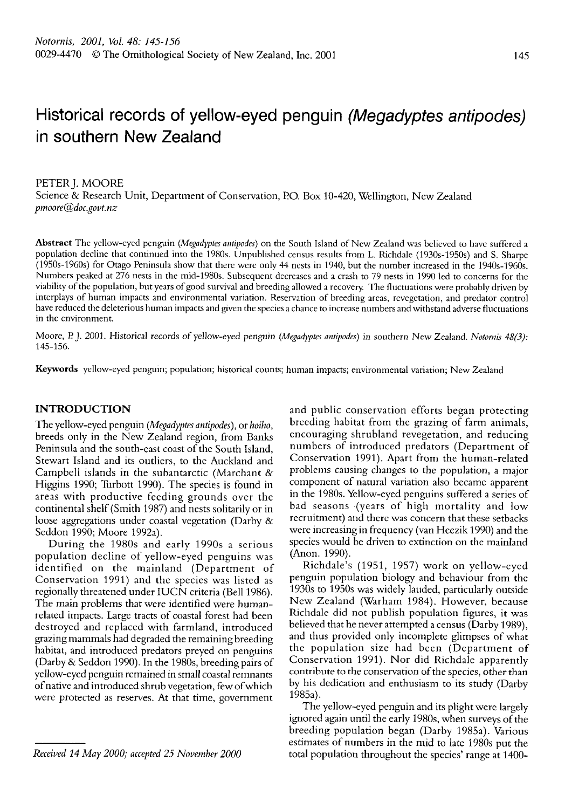# Historical records of yellow-eyed penguin (Megadyptes antipodes) in southern New Zealand

#### PETER J. MOORE

Science & Rescarch Unit, Department of Conservation, PO. Box 10-420, Wellington, New Zealand pmoore@doc.govt. nz

Abstract The yellow-eyed penguin (Megadyptes antipodes) on the South Island of New Zealand was believed to have suffered a population decline that continued into the 1980s. Unpublished census results from L. Richdale (1930s-1950s) and S. Sharpe (1950s-1960s) for Otago Peninsula show that there were only 44 nests in 1940, but the number increascd in the 1940s-1960s. Numbers peaked at 276 nests in the mid-1980s. Subsequent decreases and a crash to 79 nests in 1990 led to concerns for the viability of the population, but years of good survival and breeding allowed a recovery. The fluctuations were probably drivcn by interplays of human impacts and environmental variation. Reservation of breeding areas, revegetation, and predator control have reduced the deleterious human impacts and given the species a chance to increase numbers and withstand adverse fluctuations in the cnvironment.

Moore, P. J. 2001. Historical records of yellow-eyed penguin (Megadyptes antipodes) in southern New Zealand. Notornis 48(3): 145-156.

**Keywords** yellow-eyed penguin; population; historical counts; human impacts; environmental variation; New Zealand

# **INTRODUCTION**

The yellow-eyed penguin (Megadyptes antipodes), or hoiho, breeds only in the New Zealand region, from Banks Peninsula and the south-east coast of the South Island, Stewart Island and its outliers, to the Auckland and Campbell islands in the subantarctic (Marchant & Higgins 1990; Turbott 1990). The species is found in areas with productive feeding grounds over the continental shelf (Smith 1987) and nests solitarily or in loose aggregations under coastal vegetation (Darby & Seddon 1990; Moore 1992a).

During the 1980s and early 1990s a serious population decline of yellow-eyed penguins was identified on the mainland (Department of Conservation 1991) and the species was listed as regionally threatened under IUCN criteria (Bell 1986). The main problems that were identified were humanrelated impacts. Large tracts of coastal forest had been destroyed and replaced with farmland, introduced grazing mammals had degraded the remaining breeding habitat, and introduced predators preyed on penguins (Darby & Seddon 1990). In the 1980s, breeding pairs of yellow-eyed penguin remained in small coastal rernnants of native and introduced shrub vegetation, few ofwhich were protected as reserves. At that time, government

Received 14 May *2000;* accepted *25* November *2000* 

and public conservation efforts began protecting breeding habitat from the grazing of farm animals, encouraging shrubland revegetation, and reducing numbers of introduced predators (Department of Conservation 1991). Apart from the human-related problems causing changes to the population, a major component of natural variation also became apparent in the 1980s. Yellow-eyed penguins suffered a series of bad seasons (years of-high mortality and low recruitment) and there was concern that these setbacks were increasing in frequency (van Heezik 1990) and the species would be driven to extinction on the mainland (Anon. 1990).

Richdale's (1951, 1957) work on yellow-eyed penguin population biology and behaviour from the 1930s to 1950s was widely lauded, particularly outside New Zealand (Warham 1984). However, because Richdale did not publish population figures, it was believed that he never attempted a census (Darby 1989), and thus provided only incomplete glimpses of what the population size had been (Department of Conservation 1991). Nor did Richdale apparently contribute to the conservation of the species, other than by his dedication and enthusiasm to its study (Darby 1985a).

The yellow-eyed penguin and its plight were largely ignored again until the early 1980s, when surveys of the breeding population began (Darby 1985a). Various estimates of numbers in the mid to late 1980s put the total population throughout the species' range at 1400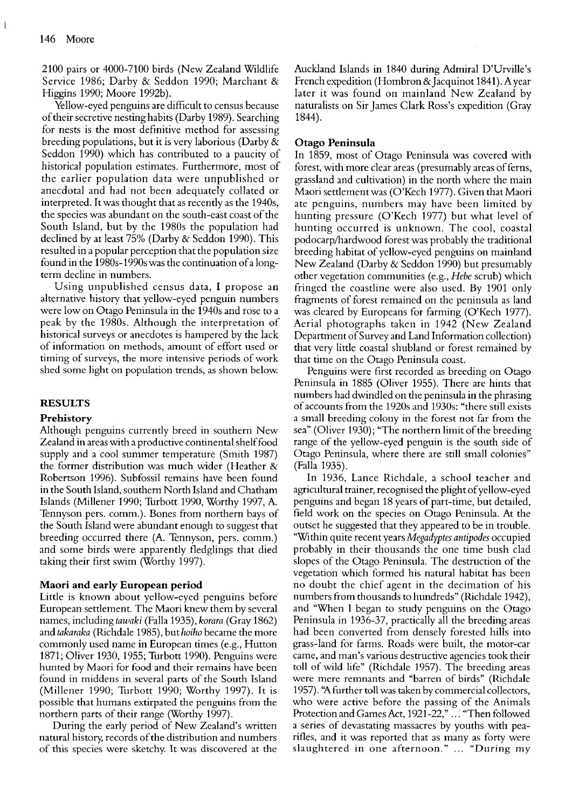2100 pairs or 4000-7100 birds (New Zealand Wildlife Service 1986; Darby & Seddon 1990; Marchant & Higgins 1990; Moore 1992b).

Yellow-eyed penguins are difficult to census because of their secretive nesting habits (Darby 1989). Searching for nests is the most definitive method for assessing breeding populations, but it is very laborious (Darby & Seddon 1990) which has contributed to a paucity of historical population estimates. Furthermore, most of the earlier population data were unpublished or anecdotal and had not been adequately collated or interpreted. It was thought that as recently as the 1940s, the species was abundant on the south-east coast of the South Island, but by the 1980s the population had declined by at least 75% (Darby & Seddon 1990). This resulted in a popular perception that the population size found in the 1980s-1990s was the continuation of a longterm decline in numbers.

Using unpublished census data, I propose an alternative history that yellow-eyed penguin numbers were low on Otago Peninsula in the 1940s and rose to a peak by the 1980s. Although the interpretation of historical surveys or anecdotes is hampered by the lack of information on methods, amount of effort used or timing of surveys, the more intensive periods of work shed some light on population trends, as shown below

### **RESULTS**

#### **Prehistorv**

Although penguins currently breed in southern New Zealand in areas with a productive continental shelffood supply and a cool summer temperature (Smith 1987) the former distribution was much wider (Heather & Robertson 1996). Subfossil remains have been found in the South Island, southern North Island and Chatham Islands (Millener 1990: Turbott 1990. Worthv 1997. A. Tennyson pers. comm.). Bones from northern bays of the South Island were abundant enough to suggest that breeding occurred there (A. Tennyson, pers. comm.) and some birds were apparently fledglings that died taking their first swim (Worthy 1997).

#### **Maori and early European period**

Little is known about yellow-eyed penguins before European settlement. The Maori knew them by several names, including *tawaki* (Falla 1935), *korara* (Gray 1862) and *takaraka* (Richdale 1985), but *hoiho* became the more commonly used name in European times (e.g., Hutton 1871; Oliver 1930, 1955; Turbott 1990). Penguins were hunted by Maori for food and their remains have been found in middens in several parts of the South Island (Millener 1990; Turbott 1990; Worthy 1997). It is possible that humans extirpated the penguins from the northern parts of their range (Worthy 1997).

During the early period of New Zealand's written natural history, records of the distribution and numbers of this species were sketchy. It was discovered at the Auckland Islands in 1840 during Admiral D'Urville's French expedition (Hombron & Jacquinot 1841). A year later it was found on mainland New Zealand by naturalists on Sir James Clark Ross's expedition (Gray 1844).

#### **Otago Peninsula**

In 1859, most of Otago Peninsula was covered with forest, with more clear areas (presumably areas of ferns. grassland and cultivation) in the north where the main Maori settlement was (O'Kech 1977). Given that Maori ate penguins, numbers may have been limited by hunting pressure (O'Kech 1977) but what level of hunting occurred is unknown. The cool, coastal podocarp/hardwood forest was probably the traditional breeding habitat of yellow-eyed penguins on mainland New Zealand (Darby & Seddon 1990) but presumably other vegetation communities (e.g., *Hebe* scrub) which fringed the coastline were also used. By 1901 only fragments of forest remained on the peninsula as land was cleared by Europeans for farming (O'Kech 1977). Aerial photographs taken in 1942 (New Zealand Department of Survey and Land Information collection) that very little coastal shubland or forest remained by that time on the Otago Peninsula coast.

Penguins were first recorded as breeding on Otago Peninsula in 1885 (Oliver 1955). There are hints that numbers had dwindled on the peninsula in the phrasing of accounts from the 1920s and 1930s: "there still exists a small breeding colony in the forest not far from the sea" (Oliver 1930); "The northern limit of the breeding range of the yellow-eyed penguin is the south side of Otago Peninsula, where there are still small colonies" (Falla 1935).

In 1936, Lance Richdale, a school teacher and agricultural trainer, recognised the plight of yellow-eyed penguins and began 18 years of part-time, but detailed, field work on the species on Otago Peninsula. At the outset he suggested that they appeared to be in trouble. 'Within quite recent years *Megadyptes antipodes* occupied probably in their thousands the one time bush clad slopes of the Otago Peninsula. The destruction of the vegetation which formed his natural habitat has been no doubt the chief agent in the decimation of his numbers from thousands to hundreds" (Richdale 1942), and "When I began to study penguins on the Otago Peninsula in 1936-37, practically all the breeding areas had been converted from densely forested hills into grass-land for farms. Roads were built, the motor-car came, and man's various destructive agencies took their toll of wild life" (Richdale 1957). The breeding areas were mere remnants and "barren of birds" (Richdale 1957). "A further toll was taken by commercial collectors, who were active before the passing of the Animals Protection and Games Act, 1921-22," ... "Then followed a series of devastating massacres by youths with pearifles, and it was reported that as many as forty were slaughtered in one afternoon." ... "During my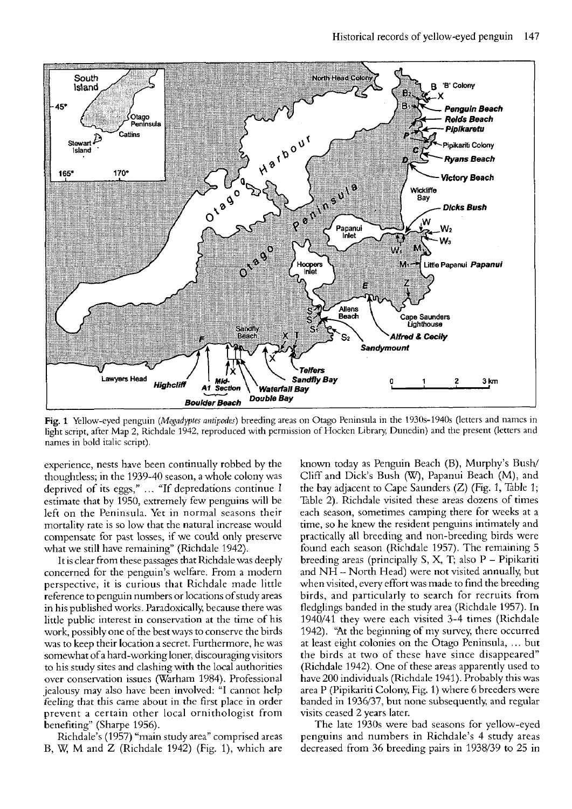

Fig. 1 Yellow-eyed penguin (Megadyptes antipodes) breeding areas on Otago Peninsula in the 1930s-1940s (letters and names in light script, after Map 2, Richdale 1942, reproduced with permission of Hocken Library. Dunedin) and the present (letters and names in bold italic script).

experience, nests have been continually robbed by the thoughtless; in the 1939-40 season, a whole colony was deprived of its eggs," ... "If depredations continue I estimate that by 1950, extremely few penguins will be left on the Peninsula. Yet in normal seasons their mortality rate is so low that the natural increase would compensate for past losses, if we could only preserve what we still have remaining" (Richdale 1942).

It is clear from these passages that Richdalewas deeply concerned for the penguin's welfare. From a modern perspective, it is curious that Richdale made little reference to penguin numbers or locations of study areas in his published works. Paradoxically because there was little public interest in conservation at the time of his work, possibly one of the best ways to conserve the birds was to keep their location a secret. Furthermore, he was somewhat of a hard-working loner. discouraging visitors to his study sites and clashingwith the local authorities over conservation issues (Warham 1984). Professional jealousy may also have been involved: "I cannot help feeling that this came about in the first place in order prevent a certain other local ornithologist from benefiting" (Sharpe 1956).

Richdale's (1957) "main study area" comprised areas B, M and *Z* (Richdale 1942) (Fig. I), which are known today as Penguin Beach (B), Murphy's Bush/ Cliff and Dick's Bush (W), Papanui Beach (M), and the bay adjacent to Cape Saunders *(Z)* (Fig. 1, Table 1; Table 2). Richdale visited these areas dozens of times each season, sometimes camping there for weeks at a time, so he knew the resident penguins intimately and practically all breeding and non-breeding birds were found each season (Richdale 1957). The remaining 5 breeding areas (principally S, **X,** T; also P - Pipikariti and NH - North Head) were not visited annually, but when visited, every effort was made to find the breeding birds, and particularly to search for recruits from fledglings banded in the study area (Richdale 1957). In 1940/41 they were each visited 3-4 times (Richdale 1942). "At the beginning of my survey, there occurred at least eight colonies on the Otago Peninsula, . .. but the birds at two of these have since disappeared" (Richdale 1942). One of these areas apparently used to have 200 individuals (Richdale 1941). Probably this was area P (Pipikariti Colony, Fig. 1) where 6 breeders were banded in 1936/37, but none subsequently, and regular visits ceased 2 years later.

The late 1930s were bad seasons for yellow-eyed penguins and numbers in Richdale's 4 study areas decreased from 36 breeding pairs in 1938/39 to 25 in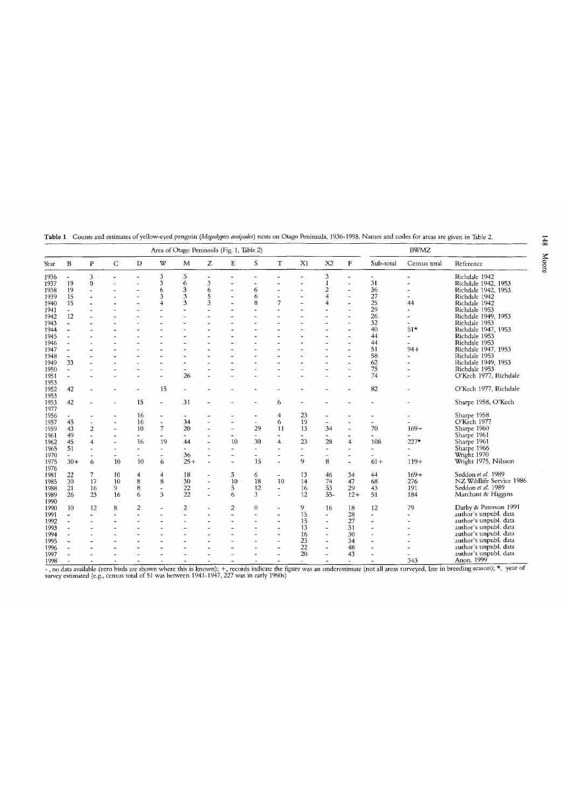|                      |                          | Area of Otago Peninsula (Fig. 1, Table 2) |              |                          |                          |                          |   |                          |           | <b>BWMZ</b>              |                              |                          |                              |                   |                       |                          |
|----------------------|--------------------------|-------------------------------------------|--------------|--------------------------|--------------------------|--------------------------|---|--------------------------|-----------|--------------------------|------------------------------|--------------------------|------------------------------|-------------------|-----------------------|--------------------------|
| Year                 | B                        | P                                         | $\mathsf{C}$ | D                        | W                        | M                        | Z | E                        | S         | $\mathbf T$              | X <sub>1</sub>               | X <sub>2</sub>           | F                            | Sub-total         | Census total          | Reference                |
| 1936                 | $\overline{\phantom{a}}$ | 3                                         |              | ٠                        | 3                        | 5                        |   |                          |           |                          |                              | 3                        | $\blacksquare$               | ٠                 |                       | Richdale 1942            |
| 1937                 | 19                       | $\Omega$                                  | ÷            | $\overline{a}$           | 3                        | 6                        | 3 |                          | ٠         |                          | ä,                           | 1                        | $\blacksquare$               | 31                |                       | Richdale 1942, 1953      |
| 1938                 | 19                       |                                           |              |                          | 6                        | 3                        | 6 |                          | 6         |                          |                              | $\overline{c}$           |                              | 36                |                       | Richdale 1942, 1953      |
| 1939                 | 15                       |                                           |              | $\overline{\phantom{a}}$ | 3                        | 3                        | 5 |                          | 6         | $\overline{\phantom{a}}$ |                              | 4                        | ٠                            | 27                |                       | Richdale 1942            |
| 1940                 | 15                       |                                           |              |                          | 4                        | 3                        | 3 |                          | 8         | 7                        |                              | 4                        | ٠                            | 25                | 44                    | Richdale 1942            |
|                      |                          |                                           |              |                          |                          |                          |   |                          |           |                          |                              |                          |                              | 29                |                       |                          |
| 1941                 | $\blacksquare$           |                                           |              |                          |                          |                          |   |                          |           |                          |                              |                          |                              |                   | $\tilde{\phantom{a}}$ | Richdale 1953            |
| 1942                 | 12                       |                                           |              |                          |                          |                          |   |                          |           |                          |                              |                          | $\blacksquare$               | 26                |                       | Richdale 1949, 1953      |
| 1943                 | $\blacksquare$           |                                           |              |                          |                          |                          |   |                          |           |                          |                              |                          | $\overline{a}$               | 32                | $\overline{a}$        | Richdale 1953            |
| 1944                 | $\overline{\phantom{a}}$ |                                           |              |                          |                          |                          |   |                          |           |                          |                              |                          | $\qquad \qquad \blacksquare$ | 40                | $51*$                 | Richdale 1947, 1953      |
| 1945                 | ٠                        |                                           |              |                          |                          |                          |   |                          |           |                          |                              |                          |                              | 44                | $\overline{a}$        | Richdale 1953            |
| 1946                 | $\overline{\phantom{a}}$ |                                           |              |                          |                          |                          |   |                          |           |                          |                              |                          | $\blacksquare$               | 44                |                       | Richdale 1953            |
| 1947                 | ٠                        |                                           |              |                          |                          |                          |   |                          |           |                          |                              |                          |                              | 51                | $94 +$                | Richdale 1947, 1953      |
| 1948                 | $\overline{\phantom{a}}$ |                                           |              |                          |                          |                          |   |                          |           |                          |                              |                          | $\overline{\phantom{a}}$     | 58                |                       | Richdale 1953            |
| 1949                 | 33                       |                                           |              |                          |                          |                          |   |                          |           |                          |                              |                          |                              | 62                |                       | Richdale 1949, 1953      |
| 1950                 | $\blacksquare$           |                                           |              |                          | $\equiv$                 | $\overline{\phantom{a}}$ |   |                          |           |                          |                              |                          | ÷                            | 75                |                       | Richdale 1953            |
| 1951                 | $\sim$                   |                                           |              |                          |                          | 26                       |   |                          |           |                          |                              |                          |                              | 74                |                       | O'Kech 1977, Richdale    |
|                      |                          |                                           |              |                          |                          |                          |   |                          |           |                          |                              |                          |                              |                   |                       |                          |
| 1953<br>1952<br>1953 | 42                       |                                           |              | $\overline{\phantom{0}}$ | 15                       |                          |   |                          |           |                          |                              |                          |                              | 82                |                       | O'Kech 1977, Richdale    |
| 1953<br>1977         | 42                       |                                           |              | 15                       | $\overline{\phantom{a}}$ | 31                       |   |                          |           | 6                        |                              |                          |                              |                   |                       | Sharpe 1958, O'Kech      |
| 1956                 |                          |                                           |              | 16                       | $\overline{\phantom{a}}$ | $\overline{\phantom{a}}$ |   |                          |           | 4                        | 23                           |                          |                              |                   |                       | Sharpe 1958              |
| 1957                 | 45                       |                                           |              | 16                       | $\overline{a}$           | 34                       |   |                          |           | 6                        | 19                           |                          |                              |                   |                       | O'Kech 1977              |
| 1959                 | 43                       | $\overline{c}$                            |              | 10                       | 7                        | 20                       |   | ä,                       | 29        | 11                       | 13                           | 34                       |                              | 70                | $169+$                | Sharpe 1960              |
|                      |                          |                                           |              |                          |                          |                          |   |                          |           |                          |                              |                          | ٠                            |                   |                       |                          |
| 1961                 | 49                       |                                           |              | $\overline{\phantom{0}}$ | ٠                        |                          |   |                          | ٠         |                          | $\qquad \qquad \blacksquare$ |                          |                              |                   |                       | Sharpe 1961              |
| 1962                 | 45                       | 4                                         |              | 16                       | 19                       | 44                       |   | 10                       | 30        | $\overline{4}$           | 23                           | 28                       | $\overline{\mathbf{4}}$      | 108               | $227*$                | Sharpe 1961              |
| 1965                 | 51                       |                                           | ۰            | ٠                        | $\sim$                   | ä,                       |   |                          | $\bar{ }$ |                          | ÷.                           | $\blacksquare$           |                              |                   |                       | Sharpe 1966              |
| 1970                 |                          |                                           |              | $\overline{a}$           | $\overline{\phantom{a}}$ | 36                       |   | ÷                        | ٠         | $\overline{\phantom{a}}$ | ÷                            |                          |                              |                   |                       | Wright 1970              |
| 1975<br>1976         | $30 +$                   | 6                                         | 10           | 10                       | 6                        | $25+$                    |   | $\overline{\phantom{a}}$ | 15        | $\overline{a}$           | 9                            | 8                        |                              | $61+$             | $119+$                | Wright 1975, Nilsson     |
| 1981                 | 22                       | 7                                         | 10           | 4                        | $\overline{4}$           | 18                       |   | 5                        | 6         | $\sim$                   | 13                           | 46                       | 34                           | 44                | $169+$                | Seddon et al. 1989       |
| 1985                 | 30                       | 17                                        | 10           | 8                        | 8                        | 30                       |   | 10                       | 18        | 10                       | 14                           | 74                       | 47                           | 68                | 276                   | NZ Wildlife Service 1986 |
| 1988                 | 21                       | 16                                        | 9            | 8                        | $\overline{\phantom{a}}$ | 22                       |   | 5                        | 12        | $\blacksquare$           | 16                           | 53                       | 29                           | 43                | 191                   | Seddon et al. 1989       |
| 1989                 | 26                       | 23                                        | 16           | 6                        | 3                        | 22                       |   | 6                        | 3         | ×.                       | 12                           | $55-$                    | $12+$                        | 51                | 184                   | Marchant & Higgins       |
| 1990                 |                          |                                           |              |                          |                          |                          |   |                          |           |                          |                              |                          |                              |                   |                       |                          |
| 1990                 | 10                       | 12                                        | 8            | 2                        | ٠                        | $\overline{c}$           |   | 2                        | $\theta$  | $\overline{\phantom{a}}$ | 9                            | 16                       | 18                           | 12                | 79                    | Darby & Paterson 1991    |
| 1991                 |                          |                                           |              |                          |                          | $\overline{a}$           |   | ä,                       |           |                          | 15                           | ٠                        | 28                           |                   |                       | author's unpubl. data    |
| 1992                 | $\overline{\phantom{a}}$ |                                           |              |                          |                          |                          |   |                          |           | ۰                        | 15                           | $\overline{a}$           | 27                           | $\qquad \qquad -$ |                       | author's unpubl. data    |
| 1993                 |                          |                                           |              |                          |                          |                          |   |                          |           |                          | 13                           | $\overline{\phantom{0}}$ | 31                           |                   |                       | author's unpubl. data    |
| 1994                 |                          |                                           |              |                          |                          |                          |   |                          |           | ۰                        | 16                           | ÷                        | 30                           |                   |                       | author's unpubl. data    |
| 1995                 |                          |                                           |              |                          |                          |                          |   |                          |           | ÷                        | 23                           | ۰                        | 34                           |                   |                       | author's unpubl. data    |
| 1996                 |                          |                                           |              |                          |                          |                          |   |                          |           | ۰                        | 22                           | $\blacksquare$           | 48                           |                   |                       | author's unpubl. data    |
| 1997                 |                          |                                           |              |                          |                          |                          |   |                          |           | $\overline{\phantom{a}}$ | 20                           |                          | 43                           |                   |                       | author's unpubl. data    |
| 1009                 |                          |                                           |              |                          |                          |                          |   |                          |           |                          |                              |                          |                              |                   | 212                   | Anon 1999                |

Table 1 Counts and estimates of yellow-eyed penguin *(Megadyptes antipodes*) nests on Otago Peninsula, 1936-1998. Names and codes for areas are given in Table 2.

1997 - 1998<br>- 1998 - 1998 - 1998 - 1998 - 1999 - 1999 - 1999 - 1999 - 1999 - 1999 - 1999 - 1999 - 1999 - 1999 - 1999 - 1999 - 1999 - 1999 - 1999 - 1999 - 1999 - 1999 - 1999 - 1999 - 1999 - 1999 - 1999 - 1999 - 1999 - 1999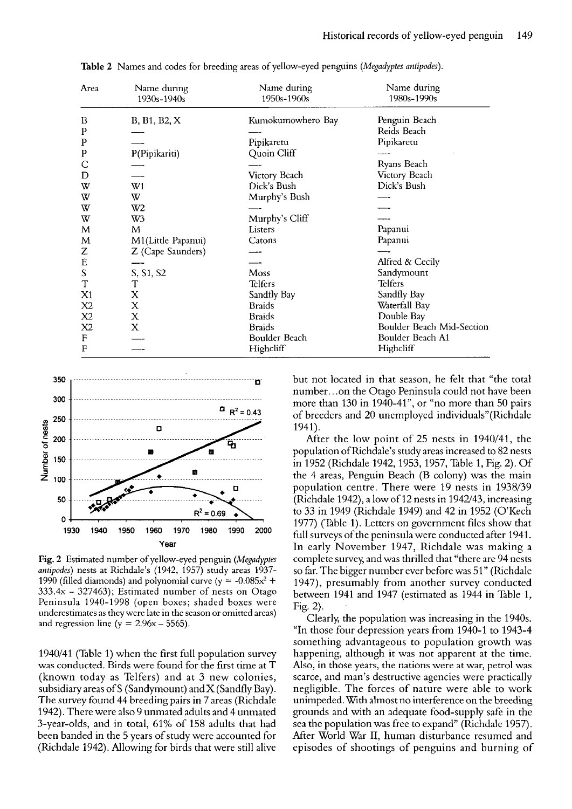| Area           | Name during<br>1930s-1940s | Name during<br>1950s-1960s | Name during<br>1980s-1990s |
|----------------|----------------------------|----------------------------|----------------------------|
| B              | B, B1, B2, X               | Kumokumowhero Bay          | Penguin Beach              |
| P              |                            |                            | Reids Beach                |
| P              |                            | Pipikaretu                 | Pipikaretu                 |
| P              | P(Pipikariti)              | Quoin Cliff                |                            |
|                |                            |                            | Ryans Beach                |
| D              |                            | Victory Beach              | Victory Beach              |
| w              | W <sub>1</sub>             | Dick's Bush                | Dick's Bush                |
| W              | W                          | Murphy's Bush              |                            |
| W              | W <sub>2</sub>             |                            |                            |
| W              | W3                         | Murphy's Cliff             |                            |
| M              | M                          | Listers                    | Papanui                    |
| M              | M1(Little Papanui)         | Catons                     | Papanui                    |
| Z              | Z (Cape Saunders)          |                            |                            |
| E              |                            |                            | Alfred & Cecily            |
| ${\mathbf S}$  | S, S1, S2                  | Moss                       | Sandymount                 |
| T              | T                          | Telfers                    | <b>Telfers</b>             |
| X1             | X                          | Sandfly Bay                | Sandfly Bay                |
| X <sub>2</sub> | X                          | <b>Braids</b>              | Waterfall Bay              |
| X <sub>2</sub> | X                          | <b>Braids</b>              | Double Bay                 |
| X2             | X                          | <b>Braids</b>              | Boulder Beach Mid-Section  |
| F              |                            | Boulder Beach              | Boulder Beach A1           |
| $\mathbf{F}$   |                            | Highcliff                  | Highcliff                  |

Table 2 Names and codes for breeding areas of yellow-eyed penguins (Megadyptes antipodes).



**Fig. 2** Estimated number of yellow-eyed penguin (Megadyptes antipodes) nests at Richdale's (1942, 1957) study areas 1937- 1990 (filled diamonds) and polynomial curve ( $y = -0.085x^2 +$  $333.4x - 327463$ ; Estimated number of nests on Otago Peninsula 1940-1998 (open boxes; shaded boxes were underestimates as they were late in the season or omitted areas) and regression line ( $y = 2.96x - 5565$ ).

1940/41 (Table 1) when the first full population survey was conducted. Birds were found for the first time at T (known today as Telfers) and at 3 new colonies, subsidiary areas of S (Sandymount) and X (Sandfly Bay). The survey found 44 breeding pairs in 7 areas (Richdale 1942). There were also 9 unmated adults and 4 unmated 3-year-olds, and in total, 61% of 158 adults that had been banded in the 5 years of study were accounted for (Richdale 1942). Allowing for birds that were still alive but not located in that season. he felt that "the total number.. .on the Otago Peninsula could not have been more than 130 in 1940-41", or "no more than 50 pairs of breeders and 20 unemployed individuals"(Richdale 1941).

After the low point of  $25$  nests in  $1940/41$ , the population of Richdale's study areas increased to 82 nests in 1952 (Richdale 1942, 1953, 1957, Table 1, Fig. 2). Of the 4 areas, Penguin Beach (B colony) was the main population centre. There were 19 nests in 1938/39 (Richdale 1942), a low of 12 nests in 1942/43, increasing to 33 in 1949 (Richdale 1949) and 42 in 1952 (O'Kech 1977) (Table 1). Letters on government files show that full surveys of the peninsula were conducted after 1941. In early November 1947, Richdale was making a complete survey, and was thrilled that "there are 94 nests so far. The bigger number ever before was 51" (Richdale 1947), presumably from another survey conducted between 1941 and 1947 (estimated as 1944 in Table 1, Fig. 2).

Clearly, the population was increasing in the 1940s. "In those four depression years from 1940-1 to 1943-4 something advantageous to population growth was happening, although it was not apparent at the time. Also, in those years, the nations were at war, petrol was scarce, and man's destructive agencies were practically negligible. The forces of nature were able to work unimpeded. With almost no interference on the breeding grounds and with an adequate food-supply safe in the sea the population was free to expand" (Richdale 1957). After World War 11, human disturbance resumed and episodes of shootings of penguins and burning of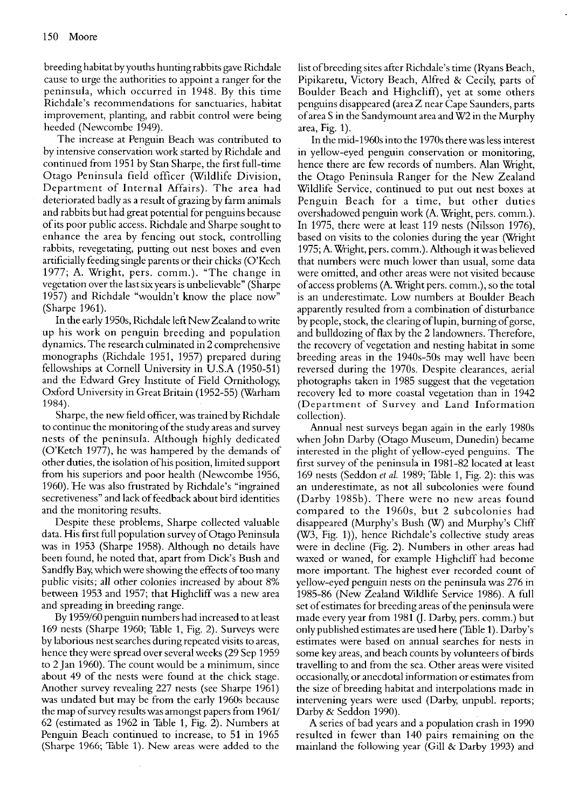breeding habitat by youths hunting rabbits gave Richdale cause to urge the authorities to appoint a ranger for the peninsula, which occurred in 1948. By this time Richdale's recommendations for sanctuaries, habitat improvement, planting, and rabbit control were being heeded (Newcombe 1949).

The increase at Penguin Beach was contributed to by intensive conservation work started by Richdale and continued from 1951 by Stan Sharpe, the first full-time Otago Peninsula field officer (Wildlife Division, Department of Internal Affairs). The area had deteriorated badly as a result of grazing by farm animals and rabbits but had great potential for penguins because of its poor public access. Richdale and Sharpe sought to enhance the area by fencing out stock, controlling rabbits, revegetating, putting out nest boxes and even artificially feeding single parents or their chicks (O'Kech 1977; A. Wright, pers. comm.). "The change in vegetation over the last six years is unbelievable" (Sharpe 1957) and Richdale "wouldn't know the place now" (Sharpe 1961).

In the early 1950s, Richdale left New Zealand to write up his work on penguin breeding and population dynamics. The research culminated in 2 comprehensive monographs (Richdale 1951, 1957) prepared during fellowships at Cornell University in U.S.A (1950-51) and the Edward Grey Institute of Field Ornithology, Oxford University in Great Britain (1952-55) (Warham 1984).

Sharpe, the new field officer, was trained by Richdale to continue the monitoring of the study areas and survey nests of the peninsula. Although highly dedicated (O'Ketch 1977), he was hampered by the demands of other duties, the isolation of his position, limited support from his superiors and poor health (Newcombe 1956, 1960). 'He was also frustrated by Richdale's "ingrained secretiveness" and lack of feedback about bird identities and the monitoring results.

Despite these problems, Sharpe collected valuable data. His first full population survey of Otago Peninsula was in 1953 (Sharpe 1958). Although no details have been found, he noted that, apart from Dick's Bush and Sandfly Bay, which were showing the effects of too many public visits; all other colonies increased by about 8% between 1953 and 1957; that Highcliff was a new area and spreading in breeding range.

By 1959/60 penguin numbers had increased to at least 169 nests (Sharpe 1960; Table 1, Fig. 2). Surveys were by laborious nest searches during repeated visits to areas, hence they were spread over several weeks (29 Sep 1959 to 2 Jan 1960). The count would be a minimum, since about 49 of the nests were found at the chick stage. Another survey revealing 227 nests (see Sharpe 1961) was undated but may be from the early 1960s because the map of survey results was amongst papers from 1961/ 62 (estimated as 1962 in Table 1, Fig. 2). Numbers at Penguin Beach continued to increase, to 51 in 1965 (Sharpe 1966; Table 1). New areas were added to the list ofbreeding sites after Richdale's time (Ryans Beach, Pipikaretu, Victory Beach, Alfred & Cecily, parts of Boulder Beach and Highcliff), yet at some others penguins disappeared (area Z near Cape Saunders, parts of area S in the Sandymount area and W2 in the Murphy area, Fig. 1).

In the mid-1960s into the 1970s there was less interest in yellow-eyed penguin conservation or monitoring, hence there are few records of numbers. Alan Wright, the Otago Peninsula Ranger for the New Zealand Wildlife Service, continued to put out nest boxes at Penguin Beach for a time, but other duties overshadowed penguin work (A. Wright, pers. comm.). In 1975, there were at least 119 nests (Nilsson 1976), based on visits to the colonies during the year (Wright 1975; A. Wright, pers. comm.). Although it was believed that numbers were much lower than usual, some data were omitted, and other areas were not visited because ofaccess problems (A. Wright pers. comm.), so the total is an underestimate. Low numbers at Boulder Beach apparently resulted from a combination of disturbance by people, stock, the clearing of lupin, burning of gorse, and bulldozing of flax by the 2 landowners. Therefore, the recovery of vegetation and nesting habitat in some breeding areas in the 1940s-50s may well have been reversed during the 1970s. Despite clearances, aerial photographs taken in 1985 suggest that the vegetation recovery led to more coastal vegetation than in 1942 (Department of Survey and Land Information collection).

Annual nest surveys began again in the early 1980s when John Darby (Otago Museum, Dunedin) became interested in the plight of yellow-eyed penguins. The first survey of the peninsula in 1981-82 located at least 169 nests (Seddon et al. 1989; Table 1, Fig. 2): this was an underestimate, as not all subcolonies were found (Darby 1985b). There were no new areas found compared to the 1960s, but 2 subcolonies had disappeared (Murphy's Bush (W) and Murphy's Cliff (W3, Fig. I)), hence Richdale's collective study areas were in decline (Fig. 2). Numbers in other areas had waxed or waned, for example Highcliff had become more important. The highest ever recorded count of yellow-eyed penguin nests on the peninsula was 276 in 1985-86 (New Zealand Wildlife Service 1986). A full set of estimates for breeding areas of the peninsula were made every year from 1981 (J. Darby, pers. comm.) but only published estimates are used here (Table 1). Darby's estimates were based on annual searches for nests in some key areas, and beach counts by volunteers of birds travelling to and from the sea. Other areas were visited occasionally, or anecdotal information or estimates from the size of breeding habitat and interpolations made in intervening years were used (Darby, unpubl. reports; Darby & Seddon 1990).

**A** series of bad years and a population crash in 1990 resulted in fewer than 140 pairs remaining on the mainland the following year (Gill & Darby 1993) and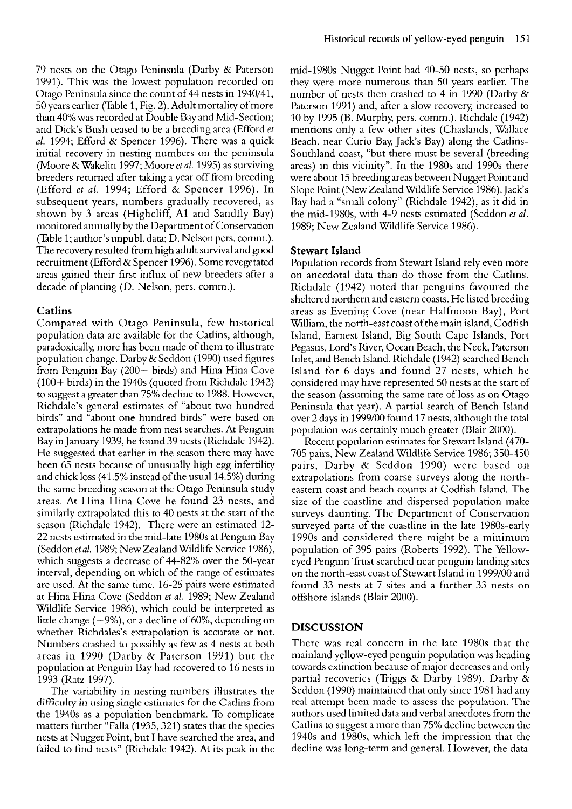79 nests on the Otago Peninsula (Darby & Paterson 1991). This was the lowest population recorded on Otago Peninsula since the count of 44 nests in 1940/41, 50 years earlier (Table 1, Fig. 2). Adult mortality of more than 40% was recorded at Double Bay and Mid-Section; and Dick's Bush ceased to be a breeding area (Efford *et*  al. 1994; Efford & Spencer 1996). There was a quick initial recovery in nesting numbers on the peninsula (Moore & Wakelin 1997; Moore *et* al. 1995) as surviving breeders returned after taking a year off from breeding (Efford *et* al. 1994; Efford & Spencer 1996). In subsequent years, numbers gradually recovered, as shown by 3 areas (Highcliff, A1 and Sandfly Bay) monitored annually by the Department of Conservation (Table 1; author's unpubl. data; D. Nelson pers. comm.). The recovery resulted from high adult survival and good recruitment (Efford & Spencer 1996). Some revegetated areas gained their first influx of new breeders after a decade of planting (D. Nelson, pers. comm.).

# **Catlins**

Compared with Otago Peninsula, few historical population data are available for the Catlins, although, paradoxically, more has been made of them to illustrate population change. Darby & Seddon (1990) used figures from Penguin Bay (200+ birds) and Hina Hina Cove  $(100 + \text{birds})$  in the 1940s (quoted from Richdale 1942) to suggest a greater than 75% decline to 1988. However, Richdale's general estimates of "about two hundred birds" and "about one hundred birds" were based on extrapolations he made from nest searches. At Penguin Bay in January 1939, he found 39 nests (Richdale 1942). He suggested that earlier in the season there may have been 65 nests because of unusually high egg infertility and chick loss (41.5% instead of the usual 14.5%) during the same breeding season at the Otago Peninsula study areas. At Hina Hina Cove he found 23 nests, and similarly extrapolated this to 40 nests at the start of the season (Richdale 1942). There were an estimated 12- 22 nests estimated in the mid-late 1980s at Penguin Bay (Seddon *et* at. 1989; New Zealand Wildlife Service 1986), which suggests a decrease of 44-82% over the 50-year interval, depending on which of the range of estimates are used. At the same time, 16-25 pairs were estimated at Hina Hina Cove (Seddon *et* al. 1989; New Zealand Wildlife Service 1986), which could be interpreted as little change (+9%), or a decline of 6O%, depending on whether Richdales's extrapolation is accurate or not. Numbers crashed to possibly as few as 4 nests at both areas in 1990 (Darby & Paterson 1991) but the population at Penguin Bay had recovered to 16 nests in 1993 (Ratz 1997).

The variability in nesting numbers illustrates the difficulty in using single estimates for the Catlins from the 1940s as a population benchmark. To complicate matters further "Falla (1935, 321) states that the species nests at Nugget Point, but I have searched the area, and failed to find nests" (Richdale 1942). At its peak in the

mid-1980s Nugget Point had 40-50 nests, so perhaps they were more numerous than 50 years earlier. The number of nests then crashed to 4 in 1990 (Darby & Paterson 1991) and, after a slow recovery, increased to 10 by 1995 (B. Murphy, pers. comm.). Richdale (1942) mentions only a few other sites (Chaslands, Wallace Beach, near Curio Bay, Jack's Bay) along the Catlins-Southland coast, "but there must be several (breeding areas) in this vicinity". In the 1980s and 1990s there were about 15 breeding areas between Nugget Point and Slope Point (New Zealand Wildlife Service 1986). Jack's Bay had a "small colony" (Richdale 1942), as it did in the mid-1980s, with 4-9 nests estimated (Seddon *et al.*  1989; New Zealand Wildlife Service 1986).

# **Stewart Island**

Population records from Stewart Island rely even more on anecdotal data than do those from the Catlins. Richdale (1942) noted that penguins favoured the sheltered northern and eastern coasts. He listed breeding areas as Evening Cove (near Halfmoon Bay), Port William, the north-east coast of the main island, Codfish Island, Earnest Island, Big South Cape Islands, Port Pegasus, Lord's River, Ocean Beach, the Neck, Paterson Inlet, and Bench Island. Richdale (1942) searched Bench Island for 6 days and found 27 nests, which he considered may have represented 50 nests at the start of the season (assuming the same rate of loss as on Otago Peninsula that year). A partial search of Bench Island over 2 days in 1999/00 found 17 nests, although the total population was certainly much greater (Blair 2000).

Recent population estimates for Stewart Island (470- 705 pairs, New Zealand Wildlife Service 1986; 350-450 pairs, Darby & Seddon 1990) were based on extrapolations from coarse surveys along the northeastern coast and beach counts at Codfish Island. The size of the coastline and dispersed population make surveys daunting. The Department of Conservation surveyed parts of the coastline in the late 1980s-early 1990s and considered there might be a minimum population of 395 pairs (Roberts 1992). The Yelloweyed Penguin Trust searched near penguin landing sites on the north-east coast of Stewart Island in 1999/00 and found 33 nests at 7 sites and a further 33 nests on offshore islands (Blair 2000).

# **DISCUSSION**

There was real concern in the late 1980s that the mainland yellow-eyed penguin population was heading towards extinction because of major decreases and only partial recoveries (Triggs & Darby 1989). Darby & Seddon (1990) maintained that only since 1981 had any real attempt been made to assess the population. The authors used limited data and verbal anecdotes from the Catlins to suggest a more than 75% decline between the 1940s and 1980s, which left the impression that the decline was long-term and general. However, the data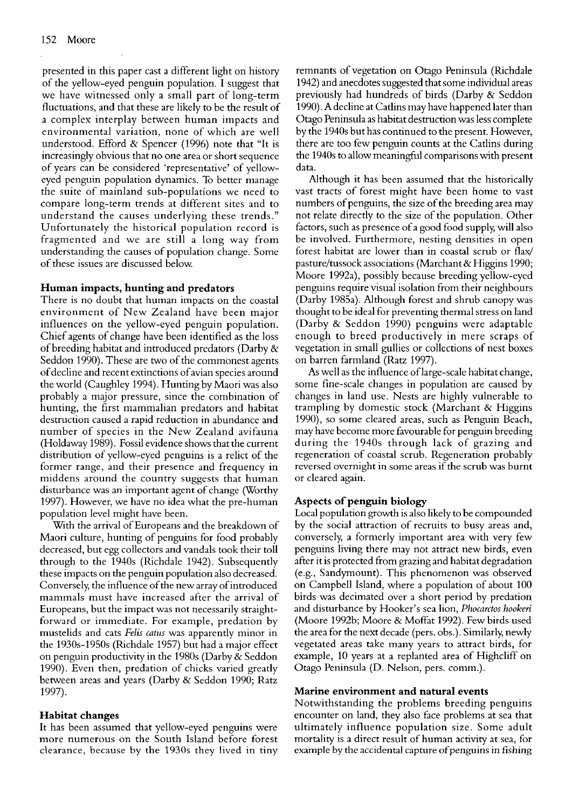presented in this paper cast a different light on history of the yellow-eyed penguin population. I suggest that we have witnessed only a small part of long-term fluctuations, and that these are likely to be the result of a complex interplay between human impacts and environmental variation, none of which are well understood. Efford & Spencer (1996) note that "It is increasingly obvious that no one area or short sequence of years can be considered 'representative' of yelloweyed penguin population dynamics. To better manage the suite of mainland sub-populations we need to compare long-term trends at different sites and to understand the causes underlying these trends." Unfortunately the historical population record is fragmented and we are still a long way from understanding the causes of population change. Some of these issues are discussed below

#### **Human impacts, hunting and predators**

There is no doubt that human impacts on the coastal environment of New Zealand have been major influences on the yellow-eyed penguin population. Chief agents of change have been identified as the loss of breeding habitat and introduced predators (Darby & Seddon 1990). These are two of the commonest agents of decline and recent extinctions of avian species around the world (Caughley 1994). Hunting by Maori was also probably a major pressure, since the combination of hunting, the first mammalian predators and habitat destruction caused a rapid reduction in abundance and number of species in the New Zealand avifauna (Holdaway 1989). Fossil evidence shows that the current distribution of yellow-eyed penguins is a relict of the former range, and their presence and frequency in middens around the country suggests that human disturbance was an important agent of change (Worthy 1997). However, we have no idea what the pre-human population level might have been.

With the arrival of Europeans and the breakdown of Maori culture, hunting of penguins for food probably decreased, but egg collectors and vandals took their toll through to the 1940s (Richdale 1942). Subsequently these impacts on the penguin population also decreased. Conversely, the influence of the new array of introduced mammals must have increased after the arrival of Europeans, but the impact was not necessarily straightforward or immediate. For example, predation by mustelids and cats *Felis catus* was apparently minor in the 1930s-1950s (Richdale 1957) but had a major effect on penguin productivity in the 1980s (Darby & Seddon 1990). Even then, predation of chicks varied greatly between areas and years (Darby & Seddon 1990; Ratz 1997).

# **Habitat changes**

It has been assumed that yellow-eyed penguins were more numerous on the South Island before forest clearance, because by the 1930s they lived in tiny

remnants of vegetation on Otago Peninsula (Richdale 1942) and anecdotes suggested that some individual areas previously had hundreds of birds (Darby & Seddon 1990). A decline at Catlins may have happened later than Otago Peninsula as habitat destruction was less complete by the 1940s but has continued to the present. However, there are too few penguin counts at the Catlins during the 1940s to allow meaningful comparisons with present data.

Although it has been assumed that the historically vast tract; of forest might have been home to vast numbers of penguins, the size of the breeding area may not relate directly to the size of the population. Other factors, such as presence of a good food supply, will also be involved. Furthermore, nesting densities in open forest habitat are lower than in coastal scrub or flax/ pasture/tussock associations (Marchant & Higgins 1990; Moore 1992a), possibly because breeding yellow-eyed penguins require visual isolation from their neighbours (Darby 1985a). Although forest and shrub canopy was thought to be ideal for preventing thermal stress on land (Darby & Seddon 1990) penguins were adaptable enough to breed productively in mere scraps of vegetation in small gullies or collections of nest boxes on barren farmland (Ratz 1997).

**As** well as the influence of large-scale habitat change, some fine-scale changes in population are caused by changes in land use. Nests are highly vulnerable to trampling by domestic stock (Marchant & Higgins 1990), so some cleared areas, such as Penguin Beach, may have become more favourable for penguin breeding during the 1940s through lack of grazing and regeneration of coastal scrub. Regeneration probably reversed overnight in some areas if the scrub was burnt or cleared again.

# **Aspects of penguin biology**

Local population growth is also likely to be compounded by the social attraction of recruits to busy areas and, conversely, a formerly important area with very few penguins living there may not attract new birds, even after it is protected from grazing and habitat degradation (e.g., Sandymount). This phenomenon was observed on Campbell Island, where a population of about 100 birds was decimated over a short period by predation and disturbance by Hooker's sea lion, *Phocarctos hookeri*  (Moore 1992b; Moore & Moffat 1992). Few birds used the area for the next decade (pers. obs.). Similarly, newly vegetated areas take many years to attract birds, for example, 10 years at a replanted area of Highcliff on Otago Peninsula (D. Nelson, pers. comm.).

#### **Marine environment and natural events**

Notwithstanding the problems breeding penguins encounter on land, they also face problems at sea that ultimately influence population size. Some adult mortality is a direct result of human activity at sea, for example by the accidental capture of penguins in fishing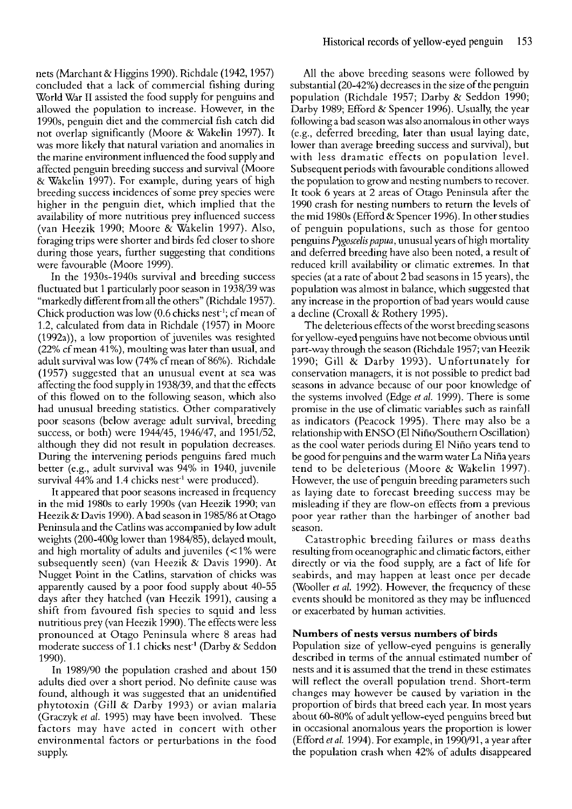nets (Marchant & Higgins 1990). Richdale (1942, 1957) concluded that a lack of commercial fishing during World War I1 assisted the food supply for penguins and allowed the population to increase. However, in the 1990s, penguin diet and the commercial fish catch did not overlap significantly (Moore & Wakelin 1997). It was more likely that natural variation and anomalies in the marine environment influenced the food supply and affected penguin breeding success and survival (Moore & Wakelin 1997). For example, during years of high breeding success incidences of some prey species were higher in the penguin diet, which implied that the availability of more nutritious prey influenced success (van Heezik 1990; Moore & Wakelin 1997). Also, foraging trips were shorter and birds fed closer to shore during those years, further suggesting that conditions were favourable (Moore 1999).

In the 1930s-1940s survival and breeding success fluctuated but 1 particularly poor season in 1938/39 was "markedly different from all the others" (Richdale 1957). Chick production was low  $(0.6$  chicks nest<sup>-1</sup>; cf mean of 1.2, calculated from data in Richdale (1957) in Moore (1992a)), a low proportion of juveniles was resighted (22% cf mean 41%), moulting was later than usual, and adult survival was low (74% cf mean of 86%). Richdale (1957) suggested that an unusual event at sea was affecting the food supply in 1938/39, and that the effects of this flowed on to the following season, which also had unusual breeding statistics. Other comparatively poor seasons (below average adult survival,-breeding success, or both) were 1944/45, 1946/47, and 1951/52, although they did not result in population decreases. During the intervening periods penguins fared much better (e.g., adult survival was 94% in 1940, juvenile survival 44% and 1.4 chicks nest<sup>-t</sup> were produced).

It appeared that poor seasons increased in frequency in the mid 1980s to early 1990s (van Heezik 1990; van Heezik& Davis 1990). A bad season in 1985/86 at Otago Peninsula and the Catlins was accompanied by low adult weights (200-400g lower than 1984/85), delayed moult, and high mortality of adults and juveniles (< 1% were subsequently seen) (van Heezik & Davis 1990). At Nugget Point in the Catlins, starvation of chicks was apparently caused by a poor food supply about 40-55 days after they hatched (van Heezik 1991), causing a shift from favoured fish species to squid and less nutritious prey (van Heezik 1990). The effects were less pronounced at Otago Peninsula where 8 areas had moderate success of 1.1 chicks nest<sup>-1</sup> (Darby & Seddon 1990).

In 1989/90 the population crashed and about 150 adults died over a short period. No definite cause was found, although it was suggested that an unidentified phytotoxin (Gill & Darby 1993) or avian malaria (Graczyk *et al.* 1995) may have been involved. These factors mav have acted in concert with other environmental factors or perturbations in the food supply.

All the above breeding seasons were followed by substantial (20-42%) decreases in the size of the penguin population (Richdale 1957; Darby & Seddon 1990; Darby 1989; Efford & Spencer 1996). Usually, the year following a bad season was also anomalous in other ways (eg, deferred breeding, later than usual laying date, lower than average breeding success and survival), but with less dramatic effects on population level. Subsequent periods with favourable conditions allowed the population to grow and nesting numbers to recover. It took 6 years at 2 areas of Otago Peninsula after the 1990 crash for nesting numbers to return the levels of the mid 1980s (Efford & Spencer 1996). In other studies of penguin populations, such as those for gentoo penguins *Pygoscelis papua*, unusual years of high mortality and deferred breeding have also been noted, a result of reduced krill availability or climatic extremes. In that species (at a rate of about 2 bad seasons in 15 years), the population was almost in balance, which suggested that any increase in the proportion of bad years would cause a decline (Croxall & Rothery 1995).

The deleterious effects of the worst breeding seasons for yellow-eyed penguins have not become obvious until part-way through the season (Richdale 1957; van Hcczik 1990; Gill & Darby 1993). Unfortunately for conservation managers, it is not possible to predict bad seasons in advance because of our poor knowledge of the systems involved (Edge *et al.* 1999). There is some promise in the use of climatic variables such as rainfall as indicators (Peacock 1995). There may also be a relationship with ENS0 (El Nifio/Southern Oscillation) as the cool water periods during El Niño years tend to be good for penguins and the warm water La Nifia years tend to be deleterious (Moore & Wakelin 1997). However, the use of penguin breeding parameters such as laying date to forecast breeding success may be misleading if they are flow-on effects from a previous poor year rather than the harbinger of another bad season.

Catastrophic breeding failures or mass deaths resulting from oceanographic and climatic factors, either directly or via the food supply, are a fact of life for seabirds, and may happen at least once per decade (Wooller *et al.* 1992). However, the frequency of these events should be monitored as they may be influenced or exacerbated by human activities.

# **Numbers of nests versus numbers of birds**

Population size of yellow-eyed penguins is generally described in terms of the annual estimated number of nests and it is assumed that the trend in these estimates will reflect the overall population trend. Short-term changes may however be caused by variation in the proportion of birds that breed each year. In most years about 60-80% of adult yellow-eyed penguins breed but in occasional anomalous years the proportion is lower (Efford *et* al. 1994). For example, in 1990/91, a year after the population crash when 42% of adults disappeared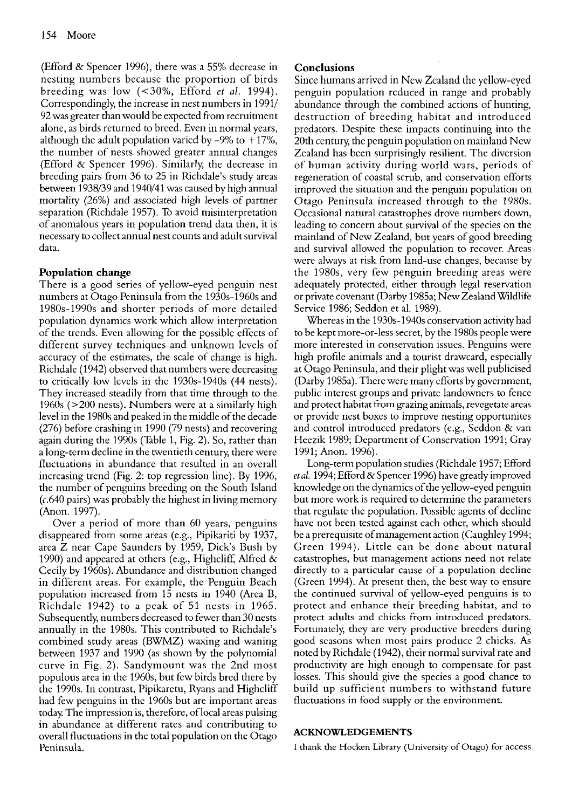(Efford & Spencer 1996), there was a 55% decrease in nesting numbers because the proportion of birds breeding was low (<30%, Efford *et* al. 1994). Correspondingly, the increase in nest numbers in 1991/ 92 was greater than would be expected from recruitment alone, as birds returned to breed. Even in normal years, although the adult population varied by  $-9\%$  to  $+17\%$ , the number of nests showed greater annual changes (Efford & Spencer 1996). Similarly, the decrease in breeding pairs from 36 to 25 in Richdale's study areas between 1938/39 and 1940/41 was caused by high annual mortality (26%) and associated high levels of partner separation (Richdale 1957). To avoid misinterpretation of anomalous years in population trend data then, it is necessary to collect annual nest counts and adult survival data.

# **Population change**

There is a good series of yellow-eyed penguin nest numbers at Otago Peninsula from the 1930s-1960s and 1980s-1990s and shorter periods of more detailed population dynamics work which allow interpretation of the trends. Even allowing for the possible effects of different survey techniques and unknown levels of accuracy of the estimates, the scale of change is high. Richdale (1942) observed that numbers were decreasing to critically low levels in the 1930s-1940s (44 nests). They increased steadily from that time through to the 1960s (>200 nests). Numbers were at a similarly high level in the 1980s and peaked in the middle of the decade (276) before crashing in 1990 (79 nests) and recovering again during the 1990s (Table 1, Fig. 2). So, rather than a long-term decline in the twentieth century, there were fluctuations in abundance that resulted in an overall increasing trend (Fig. 2: top regression line). By 1996, the number of penguins breeding on the South Island (c.640 pairs) was probably the highest in living memory (Anon. 1997).

Over a period of more than 60 years, penguins disappeared from some areas (e.g., Pipikariti by 1937, area Z near Cape Saunders by 1959, Dick's Bush by 1990) and appeared at others (e.g., Highcliff, Alfred & Cecily by 1960s). Abundance and distribution changed in different areas. For example, the Penguin Beach population increased from 15 nests in 1940 (Area B, Richdale 1942) to a peak of 51 nests in 1965. Subsequently, numbers decreased to fewer than 30 nests annually in the 1980s. This contributed to Richdale's combined study areas (BWMZ) waxing and waning between 1937 and 1990 (as shown by the polynomial curve in Fig. 2). Sandymount was the 2nd most populous area in the 1960s, but few birds bred there by the 1990s. In contrast, Pipikaretu, Ryans and Highcliff had few penguins in the 1960s but are important areas today. The impression is, therefore, of local areas pulsing in abundance at different rates and contributing to overall fluctuations in the total population on the Otago Peninsula.

# **Conclusions**

Since humans arrived in New Zealand the yellow-eyed penguin population reduced in range and probably abundance through the combined actions of hunting, destruction of breeding habitat and introduced predators. Despite these impacts continuing into the 20th century the penguin population on mainland New Zealand has been surprisingly resilient. The diversion of human activity during world wars, periods of regeneration of coastal scrub, and conservation efforts improved the situation and the penguin population on Otago Peninsula increased through to the 1980s. Occasional natural catastrophes drove numbers down, leading to concern about survival of the species on the mainland of New Zealand, but years of good breeding and survival allowed the population to recover. Areas were always at risk from land-use changes, because by the 1980s, very few penguin breeding areas were adequately protected, either through legal reservation or private covenant (Darby 1985a; New Zealand Service 1986; Seddon et al. 1989).

Whereas in the 1930s-1940s conservation activity had to be kept more-or-less secret, by the 1980s people were more interested in conservation issues. Penguins were high profile animals and a tourist drawcard, especially at Otago Peninsula, and their plight was well publicised (Darby 1985a). There were many efforts by government, public interest groups and private landowners to fence and protect habitat from grazing animals, revegetate areas or provide nest boxes to improve nesting opportunites and control introduced predators (e.g., Seddon & van Heezik 1989; Department of Conservation 1991; Gray 1991; Anon. 1996).

Long-term population studies (Richdale 1957; Efford *et* at. 1994; Efford & Spencer 1996) have greatly improved knowledge on the dynamics of the yellow-eyed penguin but more work is required to determine the parameters that regulate the population. Possible agents of decline have not been tested against each other. which should **<sup>u</sup>** be a prerequisite of management action (Caughley 1994; Green 1994). Little can be done about natural catastrophes, but management actions need not relate directly to a particular cause of a population decline (Green 1994). At present then, the best way to ensure the continued survival of yellow-eyed penguins is to protect and enhance their breeding habitat, and to protect adults and chicks from introduced predators. Fortunately, they are very productive breeders during good seasons when most pairs produce 2 chicks. **As**  noted by Richdale (1942), their normal survival rate and productivity are high enough to compensate for past losses. This should give the species a good chance to build up sufficient numbers to withstand future fluctuations in food supply or the environment.

#### **ACKNOWLEDGEMENTS**

I thank the Hocken Library (University of Otago) for access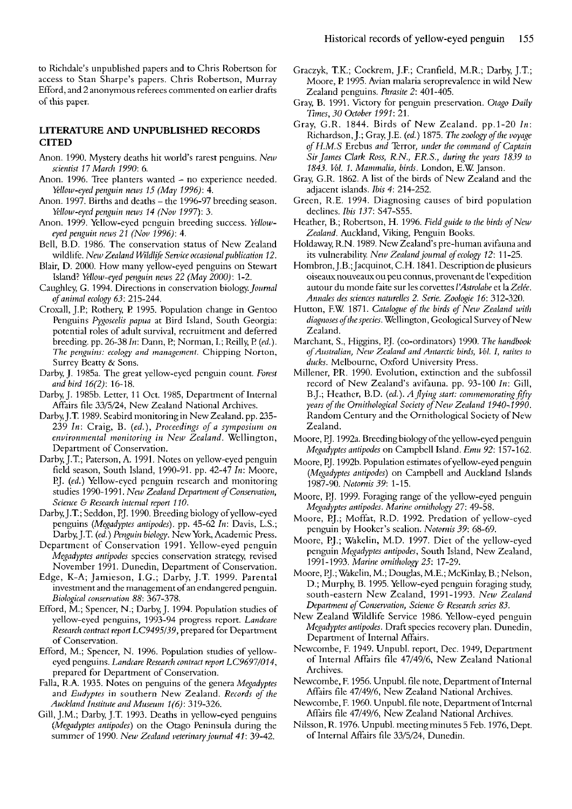to Richdale's unpublished papers and to Chris Robertson for access to Stan Sharpe's papers. Chris Robertson, Murray Efford, and 2 anonymous referecs commented on earlier drafts of this paper.

#### **LITERATURE AND UNPUBLISHED RECORDS CITED**

- Anon. 1990. Mystery deaths hit world's rarest penguins. *New scientist 17 March 1990:* 6.
- Anon. 1996. Tree planters wanted no experience needed. *Yellow-eyed penguin news 15 (May 1996): 4.*
- Anon. 1997. Births and deaths the 1996-97 breeding season. *Wow-eyedpenguin news 14 (Nov 1997):* 3.
- Anon. 1999. Yellow-eyed pcnguin breeding success. *Yelloweyed penguin news 21 (Nov 1996):* 4.
- Bell, B.D. 1986. The conservation status of New Zealand wildlife. *New Zealand Wildlife Service occasional publication 12.*
- Blair, D. 2000. How many yellow-eyed penguins on Stewart Island? *Yellotv-eyed penguin news 22 (May 2000):* 1-2.
- Caughley, G. 1994. Directions in conservation biology. Journal *ofanimal ecology 63:* 215-244.
- Croxall, J.P; Rothery, P 1995. Population change in Gcntoo Penguins *Pygoscelis papua* at Bird Island, South Georgia: potential roles of adult survival, recruitment and deferred breeding. pp. 26-38 *In:* Dann, P; Norman, I.; Reilly, P *(ed.). The penguins: ecology and management.* Chipping Norton, Surrey Bcatty & Sons.
- Darby, J. 1985a. The great yellow-eyed penguin count. *Forest and bird 16(2):* 16-18.
- Darby, J. 1985b. Letter, 11 Oct. 1985, Department of Internal Affairs file 33/5/24, New Zealand National Archives.
- Darby, J.T. 1989. Seabird monitoring in New Zealand. pp. 235- 239 *In:* Craig, B. *(ed.), Proceedings of a symposium on environmental monitoring in New Zealand.* Wellington, Department of Conservation.
- Darby, J.T.; Paterson, A. 1991. Notes on yellow-eyed penguin field season, South Island, 1990-91. pp. 42-47 *In:* Moore, PJ. *(ed.)* Yellow-eyed penguin research and monitoring studies 1990-1991. *New Zealand Department of Conservation*, *Science* G *Research internal rcport 110.*
- Darby, J.T.; Seddon, P.J. 1990. Breeding biology of yellow-eyed penguins *(Megadyptes antipodes).* pp. 45-62 *In:* Davis, L.S.; Darby, J.T. *(ed.) Penguin biology.* New York, Academic Press.
- Departmcnt of Conservation 1991. Yellow-eyed penguin *Megadyptes antipodes* species conservation strategy, revised November 1991. Dunedin, Department of Conservation.
- Edge, K-A; Jamieson, I.G.; Darby, J.T. 1999. Parental investment and the management of an endangered penguin. *Biological conservation 88:* 367-378.
- Efford, M.; Spencer, N.; Darby, J. 1994. Population studics of yellow-eyed penguins, 1993-94 progress rcport. *Landcare Research contract report LC9495/39,* prepared for Department of Conservation.
- Efford, M.; Spencer, N. 1996. Population studies of yelloweyed penguins. *Landcare Research contract report LC9697/014,*  prepared for Dcpartment of Conservation.
- Falla, R.A. 1935. Notes on penguins of the genera *Megadyptes*  and *Eudyptes* in southern New Zealand. *Records of the Auckland Institute and Museum l(6):* 3 19-326.
- Gill, J.M.; Darby, J.T. 1993. Deaths in yellow-eyed penguins *(Megadyptes antipodes)* on the Otago Peninsula during the summer of 1990. *New Zealand veterinary journal 41:* 39-42.
- Graczyk, T.K.; Cockrem, J.F.; Cranfield, M.R.; Darby, J.T.; Moore, P 1995. Avian malaria seroprevalencc in wild New Zealand penguins. *Parasite 2:* 401-405.
- Gray, *B.* 1991. Victory for penguin preservation. *Otago Daily Times, 30 October 1991:* 21.
- Gray, G.R. 1844. Birds of New Zealand. pp.1-20 *In:*  Richardson, J.; Gray, J.E. *(ed.)* 1875. *The zoology ofthe voyage 4H.M.S* Erebus *and* Terror, *under the command of Captain Sir James Clark Ross, R.N., ER.S., during the years 1839 to 1843. Ml. 1. Mammalia, birds.* London, E.W Janson.
- Gray, G.R. 1862. A list of the birds of New Zealand and the adjaccnt islands. *Ibis 4:* 214-252.
- Green, R.E. 1994. Diagnosing causes of bird population declines. *Ibis 137:* S47-S55.
- Heather, B.; Robertson, H. 1996. *Field guide to the birds of New Zealand.* Auckland, Viking, Penguin Books.
- Holdaway, R.N. 1989. New Zealand's pre-human avifauna and its vulnerability. New Zealand journal of ecology 12: 11-25.
- Hombron, J.B.; Jacquinot, C.H. 1841. Description de plusieurs oiseaux nouveaux ou peu connus, provcnant de l'expedition autour du monde faite sur les corvettes *l'Astrolabe* et la Zelée. *Annales des sciences natnrelles 2. Serie. Zoologie 16:* 312-320.
- Hutton, F.W. 1871. Catalogue of the birds of New Zealand with *diagnoses ofthespecies.* Wellington, Geological Survey of New Zcaland.
- Marchant, S., Higgins, PJ. (co-ordinators) 1990. *The handbook ofAustralian,* New *Zealand and Antarctic birds, Ml. I, ratites to ducks.* Melbourne, Oxford University Press.
- Millener, PR. 1990. Evolution, extinction and the subfossil record of New Zealand's avifauna. pp. 93-100 *In:* Gill, B.J.; Heather, B.D. (ed.). A flying start: commemorating fifty *years of the Ornithological Society of New Zealand 1940-1990.* Random Century and the Ornithological Society of New Zealand.
- Moore, PJ. 1992a. Breeding biology of the yellow-eyed penguin *Megadyptes antipodes* on Campbcll Island. *Emu 92:* 157-162.
- Moore, PJ. 1992b. Population estimates of ycllow-eyed penguin *(Megadyptes antipodes)* on Campbell and Auckland Islands 1987-90. *Notornis 39:* 1-15.
- Moore, PJ. 1999. Foraging range of the yellow-eyed penguin *Megadyptes antipodes. Marine ornithology 27:* 49-58.
- Moore, PJ.; Moffat, R.D. 1992. Prcdation of yellow-eyed pcnguin by Hooker's sealion. *Notornis 39:* 68-69.
- Moore, PJ.; Wakelin, M.D. 1997. Diet of the yellow-eyed penguin *Megadyptes antipodes,* South Island, New Zealand, 1991 -1 993. *Marine ornithology 25:* 17-29.
- Moore, PJ.; Wakelin, M.; Douglas, M.E.; McKinlay, B.; Nelson, D.; Murphy, B. 1995. Yellow-eyed penguin foraging study, south-eastern New Zcaland, 1991-1993. *New Zealand Department ofComewation, Science* **G.** *Research series 83.*
- New Zealand Wildlife Service 1986. Yellow-eyed penguin *Megadyptes antipodes.* Draft species recovery plan. Dunedin, Department of Internal Affairs.
- Newcombe, F. 1949. Unpubl. report, Dec. 1949, Departmcnt of Internal Affairs filc 47/49/6, New Zealand National Archives.
- Newcombe, F. 1956. Unpubl. file note, Department of Internal Affairs file 47/49/6, New Zealand National Archives.
- Newcombe, F. 1960. Unpubl. file note, Department of Internal Affairs file 47/49/6, New Zealand National Archives.
- Nilsson, R. 1976. Unpubl. meetingminutes 5 Feb. 1976, Dept. of Internal Affairs file 33/5/24, Dunedin.